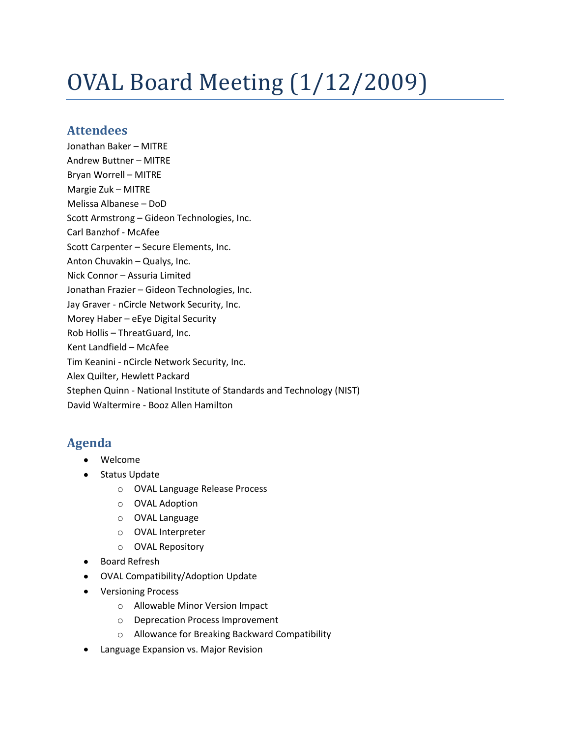# OVAL Board Meeting (1/12/2009)

# **Attendees**

Jonathan Baker – MITRE Andrew Buttner – MITRE Bryan Worrell – MITRE Margie Zuk – MITRE Melissa Albanese – DoD Scott Armstrong – Gideon Technologies, Inc. Carl Banzhof - McAfee Scott Carpenter – Secure Elements, Inc. Anton Chuvakin – Qualys, Inc. Nick Connor – Assuria Limited Jonathan Frazier – Gideon Technologies, Inc. Jay Graver - nCircle Network Security, Inc. Morey Haber – eEye Digital Security Rob Hollis – ThreatGuard, Inc. Kent Landfield – McAfee Tim Keanini - nCircle Network Security, Inc. Alex Quilter, Hewlett Packard Stephen Quinn - National Institute of Standards and Technology (NIST) David Waltermire - Booz Allen Hamilton

# **Agenda**

- Welcome
- $\bullet$ Status Update
	- o OVAL Language Release Process
	- o OVAL Adoption
	- o OVAL Language
	- o OVAL Interpreter
	- o OVAL Repository
- Board Refresh
- OVAL Compatibility/Adoption Update
- Versioning Process
	- o Allowable Minor Version Impact
	- o Deprecation Process Improvement
	- o Allowance for Breaking Backward Compatibility
- Language Expansion vs. Major Revision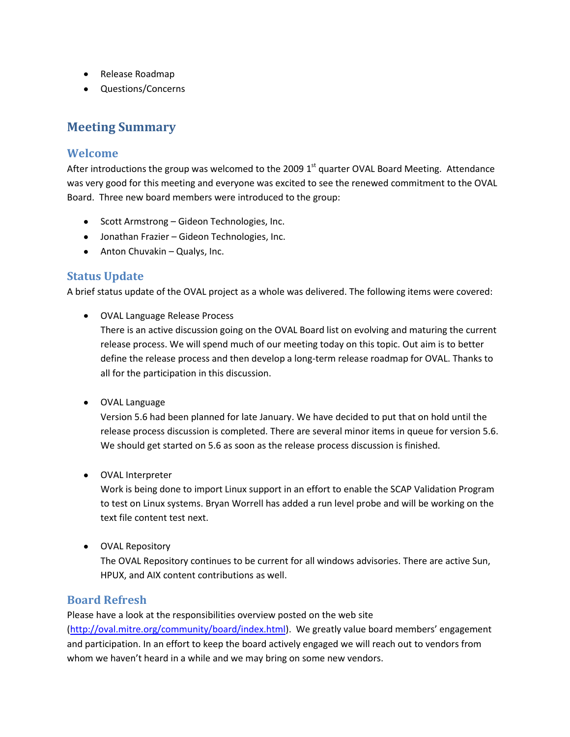- Release Roadmap
- Questions/Concerns

# **Meeting Summary**

## **Welcome**

After introductions the group was welcomed to the 2009 1<sup>st</sup> quarter OVAL Board Meeting. Attendance was very good for this meeting and everyone was excited to see the renewed commitment to the OVAL Board. Three new board members were introduced to the group:

- Scott Armstrong Gideon Technologies, Inc.
- Jonathan Frazier Gideon Technologies, Inc.
- Anton Chuvakin Qualys, Inc.

#### **Status Update**

A brief status update of the OVAL project as a whole was delivered. The following items were covered:

OVAL Language Release Process

There is an active discussion going on the OVAL Board list on evolving and maturing the current release process. We will spend much of our meeting today on this topic. Out aim is to better define the release process and then develop a long-term release roadmap for OVAL. Thanks to all for the participation in this discussion.

OVAL Language

Version 5.6 had been planned for late January. We have decided to put that on hold until the release process discussion is completed. There are several minor items in queue for version 5.6. We should get started on 5.6 as soon as the release process discussion is finished.

OVAL Interpreter

Work is being done to import Linux support in an effort to enable the SCAP Validation Program to test on Linux systems. Bryan Worrell has added a run level probe and will be working on the text file content test next.

OVAL Repository

The OVAL Repository continues to be current for all windows advisories. There are active Sun, HPUX, and AIX content contributions as well.

#### **Board Refresh**

Please have a look at the responsibilities overview posted on the web site [\(http://oval.mitre.org/community/board/index.html\)](http://oval.mitre.org/community/board/index.html). We greatly value board members' engagement and participation. In an effort to keep the board actively engaged we will reach out to vendors from whom we haven't heard in a while and we may bring on some new vendors.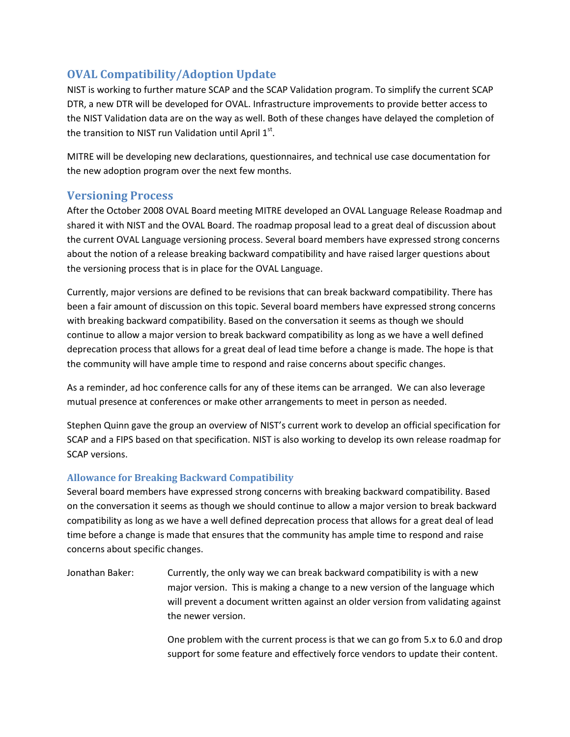# **OVAL Compatibility/Adoption Update**

NIST is working to further mature SCAP and the SCAP Validation program. To simplify the current SCAP DTR, a new DTR will be developed for OVAL. Infrastructure improvements to provide better access to the NIST Validation data are on the way as well. Both of these changes have delayed the completion of the transition to NIST run Validation until April  $1^{st}$ .

MITRE will be developing new declarations, questionnaires, and technical use case documentation for the new adoption program over the next few months.

## **Versioning Process**

After the October 2008 OVAL Board meeting MITRE developed an OVAL Language Release Roadmap and shared it with NIST and the OVAL Board. The roadmap proposal lead to a great deal of discussion about the current OVAL Language versioning process. Several board members have expressed strong concerns about the notion of a release breaking backward compatibility and have raised larger questions about the versioning process that is in place for the OVAL Language.

Currently, major versions are defined to be revisions that can break backward compatibility. There has been a fair amount of discussion on this topic. Several board members have expressed strong concerns with breaking backward compatibility. Based on the conversation it seems as though we should continue to allow a major version to break backward compatibility as long as we have a well defined deprecation process that allows for a great deal of lead time before a change is made. The hope is that the community will have ample time to respond and raise concerns about specific changes.

As a reminder, ad hoc conference calls for any of these items can be arranged. We can also leverage mutual presence at conferences or make other arrangements to meet in person as needed.

Stephen Quinn gave the group an overview of NIST's current work to develop an official specification for SCAP and a FIPS based on that specification. NIST is also working to develop its own release roadmap for SCAP versions.

#### **Allowance for Breaking Backward Compatibility**

Several board members have expressed strong concerns with breaking backward compatibility. Based on the conversation it seems as though we should continue to allow a major version to break backward compatibility as long as we have a well defined deprecation process that allows for a great deal of lead time before a change is made that ensures that the community has ample time to respond and raise concerns about specific changes.

Jonathan Baker: Currently, the only way we can break backward compatibility is with a new major version. This is making a change to a new version of the language which will prevent a document written against an older version from validating against the newer version.

> One problem with the current process is that we can go from 5.x to 6.0 and drop support for some feature and effectively force vendors to update their content.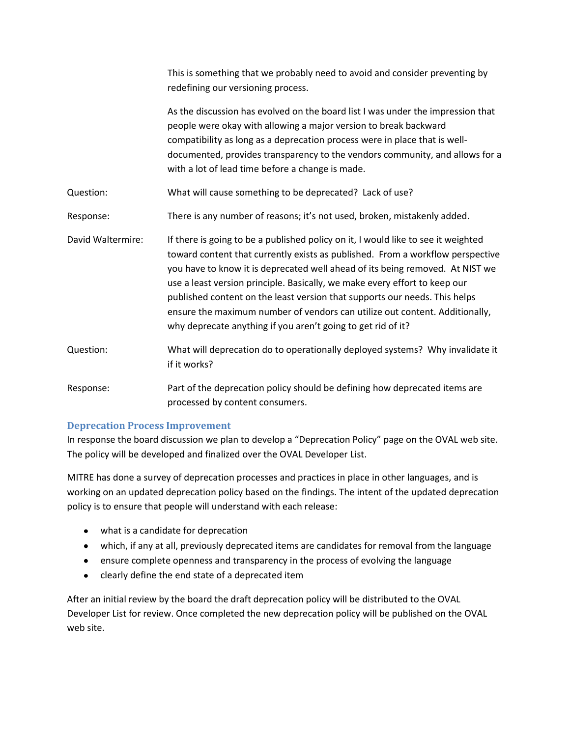|                   | This is something that we probably need to avoid and consider preventing by<br>redefining our versioning process.                                                                                                                                                                                                                                                                                                                                                                                                                                               |
|-------------------|-----------------------------------------------------------------------------------------------------------------------------------------------------------------------------------------------------------------------------------------------------------------------------------------------------------------------------------------------------------------------------------------------------------------------------------------------------------------------------------------------------------------------------------------------------------------|
|                   | As the discussion has evolved on the board list I was under the impression that<br>people were okay with allowing a major version to break backward<br>compatibility as long as a deprecation process were in place that is well-<br>documented, provides transparency to the vendors community, and allows for a<br>with a lot of lead time before a change is made.                                                                                                                                                                                           |
| Question:         | What will cause something to be deprecated? Lack of use?                                                                                                                                                                                                                                                                                                                                                                                                                                                                                                        |
| Response:         | There is any number of reasons; it's not used, broken, mistakenly added.                                                                                                                                                                                                                                                                                                                                                                                                                                                                                        |
| David Waltermire: | If there is going to be a published policy on it, I would like to see it weighted<br>toward content that currently exists as published. From a workflow perspective<br>you have to know it is deprecated well ahead of its being removed. At NIST we<br>use a least version principle. Basically, we make every effort to keep our<br>published content on the least version that supports our needs. This helps<br>ensure the maximum number of vendors can utilize out content. Additionally,<br>why deprecate anything if you aren't going to get rid of it? |
| Question:         | What will deprecation do to operationally deployed systems? Why invalidate it<br>if it works?                                                                                                                                                                                                                                                                                                                                                                                                                                                                   |
| Response:         | Part of the deprecation policy should be defining how deprecated items are<br>processed by content consumers.                                                                                                                                                                                                                                                                                                                                                                                                                                                   |

#### **Deprecation Process Improvement**

In response the board discussion we plan to develop a "Deprecation Policy" page on the OVAL web site. The policy will be developed and finalized over the OVAL Developer List.

MITRE has done a survey of deprecation processes and practices in place in other languages, and is working on an updated deprecation policy based on the findings. The intent of the updated deprecation policy is to ensure that people will understand with each release:

- what is a candidate for deprecation
- which, if any at all, previously deprecated items are candidates for removal from the language
- ensure complete openness and transparency in the process of evolving the language
- clearly define the end state of a deprecated item

After an initial review by the board the draft deprecation policy will be distributed to the OVAL Developer List for review. Once completed the new deprecation policy will be published on the OVAL web site.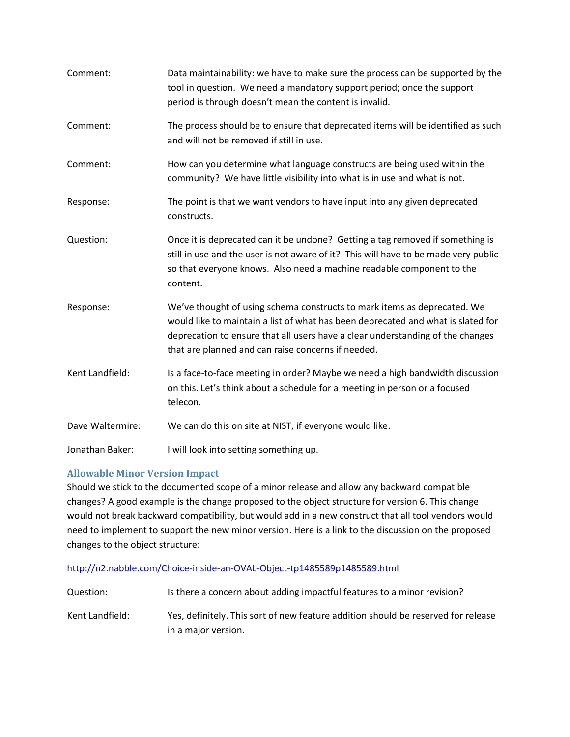| Comment:         | Data maintainability: we have to make sure the process can be supported by the<br>tool in question. We need a mandatory support period; once the support<br>period is through doesn't mean the content is invalid.                                                                                   |
|------------------|------------------------------------------------------------------------------------------------------------------------------------------------------------------------------------------------------------------------------------------------------------------------------------------------------|
| Comment:         | The process should be to ensure that deprecated items will be identified as such<br>and will not be removed if still in use.                                                                                                                                                                         |
| Comment:         | How can you determine what language constructs are being used within the<br>community? We have little visibility into what is in use and what is not.                                                                                                                                                |
| Response:        | The point is that we want vendors to have input into any given deprecated<br>constructs.                                                                                                                                                                                                             |
| Question:        | Once it is deprecated can it be undone? Getting a tag removed if something is<br>still in use and the user is not aware of it? This will have to be made very public<br>so that everyone knows. Also need a machine readable component to the<br>content.                                            |
| Response:        | We've thought of using schema constructs to mark items as deprecated. We<br>would like to maintain a list of what has been deprecated and what is slated for<br>deprecation to ensure that all users have a clear understanding of the changes<br>that are planned and can raise concerns if needed. |
| Kent Landfield:  | Is a face-to-face meeting in order? Maybe we need a high bandwidth discussion<br>on this. Let's think about a schedule for a meeting in person or a focused<br>telecon.                                                                                                                              |
| Dave Waltermire: | We can do this on site at NIST, if everyone would like.                                                                                                                                                                                                                                              |
| Jonathan Baker:  | I will look into setting something up.                                                                                                                                                                                                                                                               |

#### **Allowable Minor Version Impact**

Should we stick to the documented scope of a minor release and allow any backward compatible changes? A good example is the change proposed to the object structure for version 6. This change would not break backward compatibility, but would add in a new construct that all tool vendors would need to implement to support the new minor version. Here is a link to the discussion on the proposed changes to the object structure:

| http://n2.nabble.com/Choice-inside-an-OVAL-Object-tp1485589p1485589.html |
|--------------------------------------------------------------------------|
|--------------------------------------------------------------------------|

| Question:       | Is there a concern about adding impactful features to a minor revision?           |
|-----------------|-----------------------------------------------------------------------------------|
| Kent Landfield: | Yes, definitely. This sort of new feature addition should be reserved for release |
|                 | in a major version.                                                               |